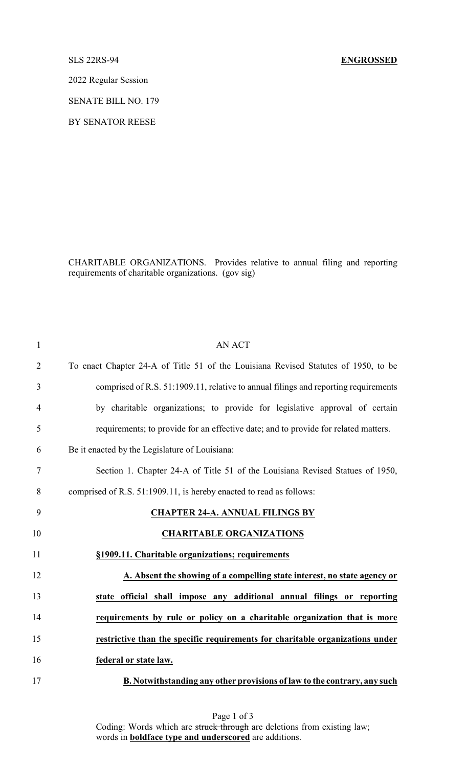2022 Regular Session

SENATE BILL NO. 179

BY SENATOR REESE

CHARITABLE ORGANIZATIONS. Provides relative to annual filing and reporting requirements of charitable organizations. (gov sig)

| $\mathbf{1}$   | <b>AN ACT</b>                                                                       |
|----------------|-------------------------------------------------------------------------------------|
| $\overline{2}$ | To enact Chapter 24-A of Title 51 of the Louisiana Revised Statutes of 1950, to be  |
| 3              | comprised of R.S. 51:1909.11, relative to annual filings and reporting requirements |
| $\overline{4}$ | by charitable organizations; to provide for legislative approval of certain         |
| 5              | requirements; to provide for an effective date; and to provide for related matters. |
| 6              | Be it enacted by the Legislature of Louisiana:                                      |
| $\tau$         | Section 1. Chapter 24-A of Title 51 of the Louisiana Revised Statues of 1950,       |
| 8              | comprised of R.S. 51:1909.11, is hereby enacted to read as follows:                 |
| 9              | <b>CHAPTER 24-A. ANNUAL FILINGS BY</b>                                              |
| 10             | <b>CHARITABLE ORGANIZATIONS</b>                                                     |
| 11             | §1909.11. Charitable organizations; requirements                                    |
| 12             | A. Absent the showing of a compelling state interest, no state agency or            |
| 13             | state official shall impose any additional annual filings or reporting              |
| 14             | requirements by rule or policy on a charitable organization that is more            |
| 15             | restrictive than the specific requirements for charitable organizations under       |
| 16             | federal or state law.                                                               |
| 17             | B. Notwithstanding any other provisions of law to the contrary, any such            |

Page 1 of 3 Coding: Words which are struck through are deletions from existing law; words in **boldface type and underscored** are additions.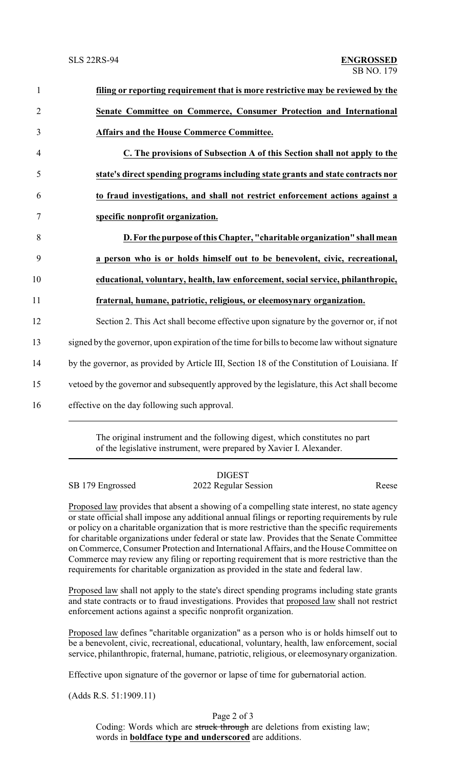| $\mathbf{1}$   | filing or reporting requirement that is more restrictive may be reviewed by the               |  |
|----------------|-----------------------------------------------------------------------------------------------|--|
| $\overline{2}$ | Senate Committee on Commerce, Consumer Protection and International                           |  |
| 3              | <b>Affairs and the House Commerce Committee.</b>                                              |  |
| $\overline{4}$ | C. The provisions of Subsection A of this Section shall not apply to the                      |  |
| 5              | state's direct spending programs including state grants and state contracts nor               |  |
| 6              | to fraud investigations, and shall not restrict enforcement actions against a                 |  |
| 7              | specific nonprofit organization.                                                              |  |
| 8              | D. For the purpose of this Chapter, "charitable organization" shall mean                      |  |
| 9              | a person who is or holds himself out to be benevolent, civic, recreational,                   |  |
| 10             | educational, voluntary, health, law enforcement, social service, philanthropic,               |  |
| 11             | fraternal, humane, patriotic, religious, or eleemosynary organization.                        |  |
| 12             | Section 2. This Act shall become effective upon signature by the governor or, if not          |  |
| 13             | signed by the governor, upon expiration of the time for bills to become law without signature |  |
| 14             | by the governor, as provided by Article III, Section 18 of the Constitution of Louisiana. If  |  |
| 15             | vetoed by the governor and subsequently approved by the legislature, this Act shall become    |  |
| 16             | effective on the day following such approval.                                                 |  |
|                |                                                                                               |  |

The original instrument and the following digest, which constitutes no part of the legislative instrument, were prepared by Xavier I. Alexander.

|                  | <b>DIGEST</b>        |       |
|------------------|----------------------|-------|
| SB 179 Engrossed | 2022 Regular Session | Reese |

Proposed law provides that absent a showing of a compelling state interest, no state agency or state official shall impose any additional annual filings or reporting requirements by rule or policy on a charitable organization that is more restrictive than the specific requirements for charitable organizations under federal or state law. Provides that the Senate Committee on Commerce, Consumer Protection and International Affairs, and the House Committee on Commerce may review any filing or reporting requirement that is more restrictive than the requirements for charitable organization as provided in the state and federal law.

Proposed law shall not apply to the state's direct spending programs including state grants and state contracts or to fraud investigations. Provides that proposed law shall not restrict enforcement actions against a specific nonprofit organization.

Proposed law defines "charitable organization" as a person who is or holds himself out to be a benevolent, civic, recreational, educational, voluntary, health, law enforcement, social service, philanthropic, fraternal, humane, patriotic, religious, or eleemosynary organization.

Effective upon signature of the governor or lapse of time for gubernatorial action.

(Adds R.S. 51:1909.11)

Page 2 of 3 Coding: Words which are struck through are deletions from existing law; words in **boldface type and underscored** are additions.